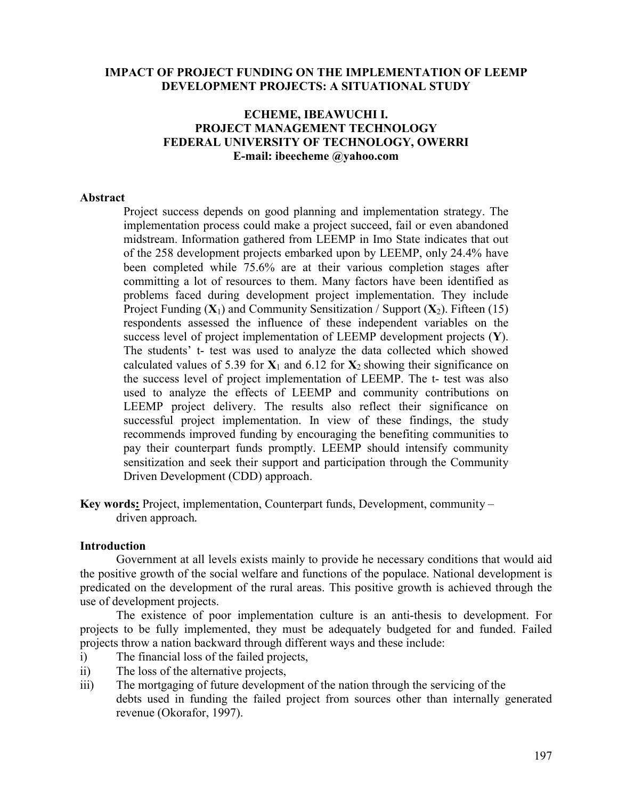### **IMPACT OF PROJECT FUNDING ON THE IMPLEMENTATION OF LEEMP DEVELOPMENT PROJECTS: A SITUATIONAL STUDY**

## **ECHEME, IBEAWUCHI I. PROJECT MANAGEMENT TECHNOLOGY FEDERAL UNIVERSITY OF TECHNOLOGY, OWERRI E-mail: ibeecheme @yahoo.com**

#### **Abstract**

Project success depends on good planning and implementation strategy. The implementation process could make a project succeed, fail or even abandoned midstream. Information gathered from LEEMP in Imo State indicates that out of the 258 development projects embarked upon by LEEMP, only 24.4% have been completed while 75.6% are at their various completion stages after committing a lot of resources to them. Many factors have been identified as problems faced during development project implementation. They include Project Funding  $(X_1)$  and Community Sensitization / Support  $(X_2)$ . Fifteen (15) respondents assessed the influence of these independent variables on the success level of project implementation of LEEMP development projects (**Y**). The students' t- test was used to analyze the data collected which showed calculated values of 5.39 for  $X_1$  and 6.12 for  $X_2$  showing their significance on the success level of project implementation of LEEMP. The t- test was also used to analyze the effects of LEEMP and community contributions on LEEMP project delivery. The results also reflect their significance on successful project implementation. In view of these findings, the study recommends improved funding by encouraging the benefiting communities to pay their counterpart funds promptly. LEEMP should intensify community sensitization and seek their support and participation through the Community Driven Development (CDD) approach.

**Key words:** Project, implementation, Counterpart funds, Development, community – driven approach*.*

#### **Introduction**

Government at all levels exists mainly to provide he necessary conditions that would aid the positive growth of the social welfare and functions of the populace. National development is predicated on the development of the rural areas. This positive growth is achieved through the use of development projects.

The existence of poor implementation culture is an anti-thesis to development. For projects to be fully implemented, they must be adequately budgeted for and funded. Failed projects throw a nation backward through different ways and these include:

- i) The financial loss of the failed projects,
- ii) The loss of the alternative projects,
- iii) The mortgaging of future development of the nation through the servicing of the debts used in funding the failed project from sources other than internally generated revenue (Okorafor, 1997).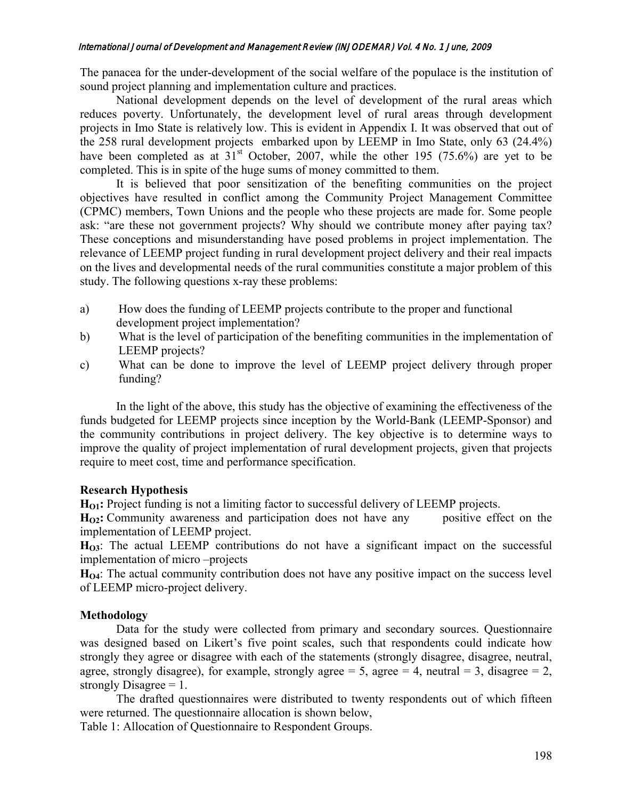#### International Journal of Development and Management Review (INJODEMAR) Vol. 4 No. 1 June, 2009

The panacea for the under-development of the social welfare of the populace is the institution of sound project planning and implementation culture and practices.

National development depends on the level of development of the rural areas which reduces poverty. Unfortunately, the development level of rural areas through development projects in Imo State is relatively low. This is evident in Appendix I. It was observed that out of the 258 rural development projects embarked upon by LEEMP in Imo State, only 63 (24.4%) have been completed as at  $31<sup>st</sup>$  October, 2007, while the other 195 (75.6%) are yet to be completed. This is in spite of the huge sums of money committed to them.

It is believed that poor sensitization of the benefiting communities on the project objectives have resulted in conflict among the Community Project Management Committee (CPMC) members, Town Unions and the people who these projects are made for. Some people ask: "are these not government projects? Why should we contribute money after paying tax? These conceptions and misunderstanding have posed problems in project implementation. The relevance of LEEMP project funding in rural development project delivery and their real impacts on the lives and developmental needs of the rural communities constitute a major problem of this study. The following questions x-ray these problems:

- a) How does the funding of LEEMP projects contribute to the proper and functional development project implementation?
- b) What is the level of participation of the benefiting communities in the implementation of LEEMP projects?
- c) What can be done to improve the level of LEEMP project delivery through proper funding?

In the light of the above, this study has the objective of examining the effectiveness of the funds budgeted for LEEMP projects since inception by the World-Bank (LEEMP-Sponsor) and the community contributions in project delivery. The key objective is to determine ways to improve the quality of project implementation of rural development projects, given that projects require to meet cost, time and performance specification.

## **Research Hypothesis**

**H<sub>O1</sub>:** Project funding is not a limiting factor to successful delivery of LEEMP projects.

**H<sub>O2</sub>:** Community awareness and participation does not have any positive effect on the implementation of LEEMP project.

**HO3**: The actual LEEMP contributions do not have a significant impact on the successful implementation of micro –projects

H<sub>O4</sub>: The actual community contribution does not have any positive impact on the success level of LEEMP micro-project delivery.

# **Methodology**

Data for the study were collected from primary and secondary sources. Questionnaire was designed based on Likert's five point scales, such that respondents could indicate how strongly they agree or disagree with each of the statements (strongly disagree, disagree, neutral, agree, strongly disagree), for example, strongly agree = 5, agree = 4, neutral = 3, disagree = 2, strongly Disagree  $= 1$ .

The drafted questionnaires were distributed to twenty respondents out of which fifteen were returned. The questionnaire allocation is shown below,

Table 1: Allocation of Questionnaire to Respondent Groups.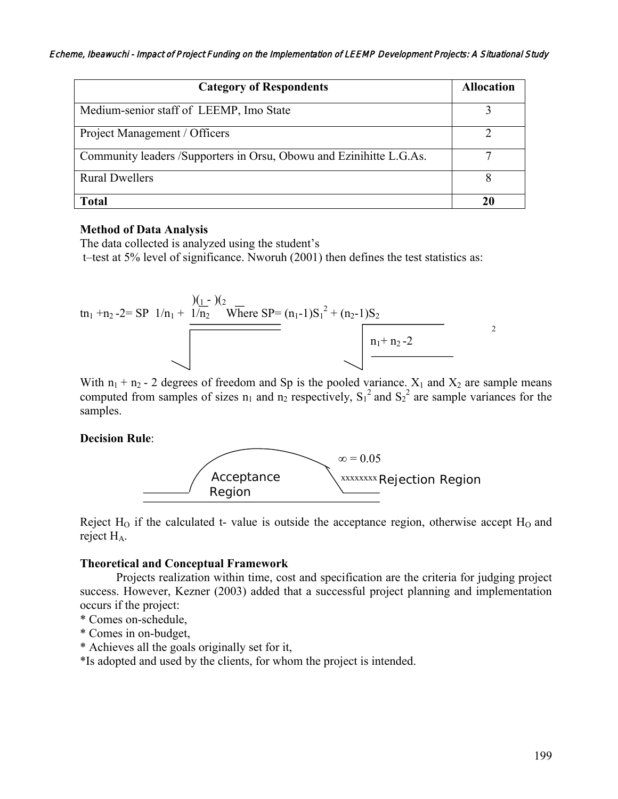| <b>Category of Respondents</b>                                      | <b>Allocation</b> |
|---------------------------------------------------------------------|-------------------|
| Medium-senior staff of LEEMP, Imo State                             |                   |
| Project Management / Officers                                       |                   |
| Community leaders /Supporters in Orsu, Obowu and Ezinihitte L.G.As. |                   |
| <b>Rural Dwellers</b>                                               |                   |
| Total                                                               | 20                |

#### **Method of Data Analysis**

The data collected is analyzed using the student's t–test at 5% level of significance. Nworuh (2001) then defines the test statistics as:



With  $n_1 + n_2$  - 2 degrees of freedom and Sp is the pooled variance.  $X_1$  and  $X_2$  are sample means computed from samples of sizes  $n_1$  and  $n_2$  respectively,  $S_1^2$  and  $S_2^2$  are sample variances for the samples.

### **Decision Rule**:



Reject  $H<sub>0</sub>$  if the calculated t- value is outside the acceptance region, otherwise accept  $H<sub>0</sub>$  and reject H<sub>A</sub>.

#### **Theoretical and Conceptual Framework**

Projects realization within time, cost and specification are the criteria for judging project success. However, Kezner (2003) added that a successful project planning and implementation occurs if the project:

- \* Comes on-schedule,
- \* Comes in on-budget,
- \* Achieves all the goals originally set for it,

\*Is adopted and used by the clients, for whom the project is intended.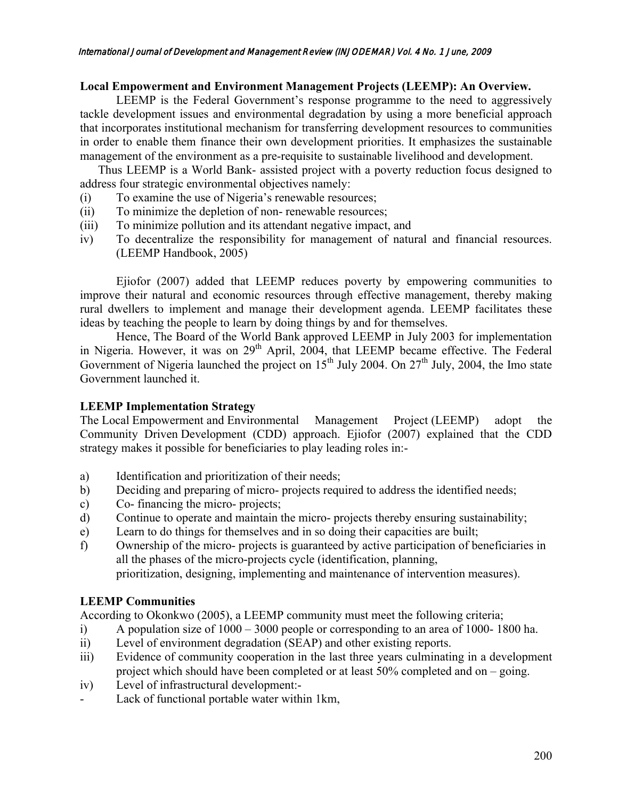### **Local Empowerment and Environment Management Projects (LEEMP): An Overview***.*

LEEMP is the Federal Government's response programme to the need to aggressively tackle development issues and environmental degradation by using a more beneficial approach that incorporates institutional mechanism for transferring development resources to communities in order to enable them finance their own development priorities. It emphasizes the sustainable management of the environment as a pre-requisite to sustainable livelihood and development.

 Thus LEEMP is a World Bank- assisted project with a poverty reduction focus designed to address four strategic environmental objectives namely:

- (i) To examine the use of Nigeria's renewable resources;
- (ii) To minimize the depletion of non- renewable resources;
- (iii) To minimize pollution and its attendant negative impact, and
- iv) To decentralize the responsibility for management of natural and financial resources. (LEEMP Handbook, 2005)

Ejiofor (2007) added that LEEMP reduces poverty by empowering communities to improve their natural and economic resources through effective management, thereby making rural dwellers to implement and manage their development agenda. LEEMP facilitates these ideas by teaching the people to learn by doing things by and for themselves.

Hence, The Board of the World Bank approved LEEMP in July 2003 for implementation in Nigeria. However, it was on  $29<sup>th</sup>$  April,  $2004$ , that LEEMP became effective. The Federal Government of Nigeria launched the project on  $15^{th}$  July 2004. On  $27^{th}$  July, 2004, the Imo state Government launched it.

## **LEEMP Implementation Strategy**

The Local Empowerment and Environmental Management Project (LEEMP) adopt the Community Driven Development (CDD) approach. Ejiofor (2007) explained that the CDD strategy makes it possible for beneficiaries to play leading roles in:-

- a) Identification and prioritization of their needs;
- b) Deciding and preparing of micro- projects required to address the identified needs;
- c) Co- financing the micro- projects;
- d) Continue to operate and maintain the micro- projects thereby ensuring sustainability;
- e) Learn to do things for themselves and in so doing their capacities are built;
- f) Ownership of the micro- projects is guaranteed by active participation of beneficiaries in all the phases of the micro-projects cycle (identification, planning, prioritization, designing, implementing and maintenance of intervention measures).

## **LEEMP Communities**

According to Okonkwo (2005), a LEEMP community must meet the following criteria;

- i) A population size of 1000 3000 people or corresponding to an area of 1000- 1800 ha.
- ii) Level of environment degradation (SEAP) and other existing reports.
- iii) Evidence of community cooperation in the last three years culminating in a development project which should have been completed or at least 50% completed and on – going.
- iv) Level of infrastructural development:-
- Lack of functional portable water within 1km,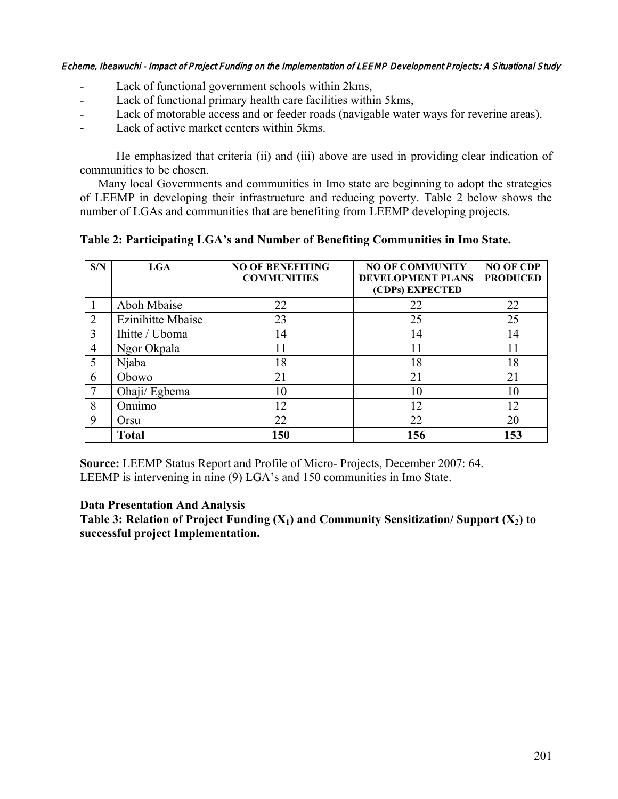#### Echeme, Ibeawuchi - Impact of Project Funding on the Implementation of LEEMP Development Projects: A Situational Study

- Lack of functional government schools within 2kms,
- Lack of functional primary health care facilities within 5kms,
- Lack of motorable access and or feeder roads (navigable water ways for reverine areas).
- Lack of active market centers within 5 kms.

He emphasized that criteria (ii) and (iii) above are used in providing clear indication of communities to be chosen.

Many local Governments and communities in Imo state are beginning to adopt the strategies of LEEMP in developing their infrastructure and reducing poverty. Table 2 below shows the number of LGAs and communities that are benefiting from LEEMP developing projects.

**Table 2: Participating LGA's and Number of Benefiting Communities in Imo State.**

| S/N            | LGA               | <b>NO OF BENEFITING</b><br><b>COMMUNITIES</b> | <b>NO OF COMMUNITY</b><br><b>DEVELOPMENT PLANS</b><br>(CDPs) EXPECTED | <b>NO OF CDP</b><br><b>PRODUCED</b> |
|----------------|-------------------|-----------------------------------------------|-----------------------------------------------------------------------|-------------------------------------|
|                | Aboh Mbaise       | 22                                            | 22                                                                    | 22                                  |
| $\overline{2}$ | Ezinihitte Mbaise | 23                                            | 25                                                                    | 25                                  |
| 3              | Ihitte / Uboma    | 14                                            | 14                                                                    | 14                                  |
| $\overline{4}$ | Ngor Okpala       |                                               | 11                                                                    |                                     |
| 5              | Njaba             | 18                                            | 18                                                                    | 18                                  |
| 6              | Obowo             | 21                                            | 21                                                                    | 21                                  |
|                | Ohaji/ Egbema     | 10                                            | 10                                                                    | 10                                  |
| 8              | Onuimo            | 12                                            | 12                                                                    | 12                                  |
| 9              | Orsu              | 22                                            | 22                                                                    | 20                                  |
|                | <b>Total</b>      | 150                                           | 156                                                                   | 153                                 |

**Source:** LEEMP Status Report and Profile of Micro- Projects, December 2007: 64. LEEMP is intervening in nine (9) LGA's and 150 communities in Imo State.

### **Data Presentation And Analysis**

**Table 3: Relation of Project Funding**  $(X_1)$  **and Community Sensitization/ Support**  $(X_2)$  **to successful project Implementation.**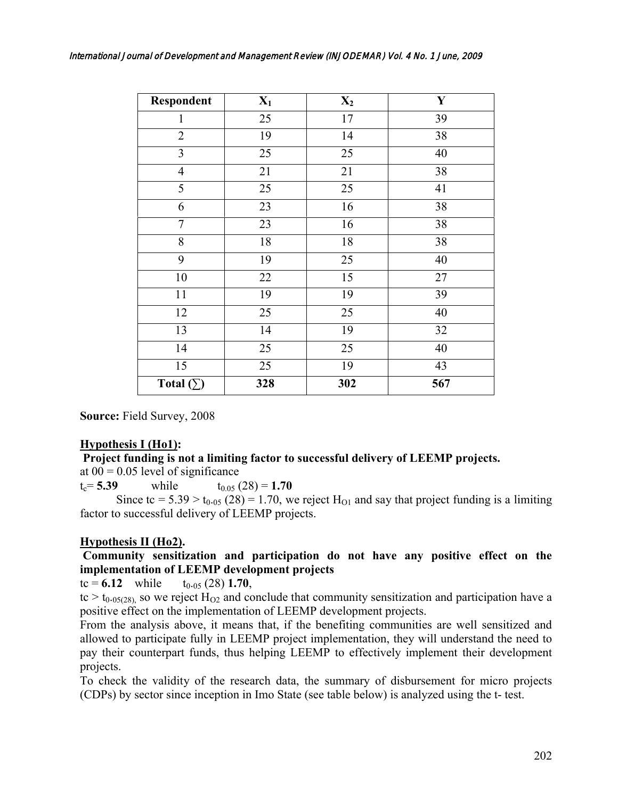| <b>Respondent</b> | $X_1$           | $X_2$           | $\mathbf Y$ |
|-------------------|-----------------|-----------------|-------------|
| 1                 | 25              | 17              | 39          |
| $\overline{2}$    | 19              | 14              | 38          |
| $\overline{3}$    | 25              | 25              | 40          |
| $\overline{4}$    | 21              | 21              | 38          |
| 5                 | $\overline{25}$ | $\overline{25}$ | 41          |
| 6                 | 23              | 16              | 38          |
| $\overline{7}$    | 23              | 16              | 38          |
| 8                 | $18\,$          | 18              | 38          |
| 9                 | 19              | 25              | 40          |
| 10                | 22              | $\overline{15}$ | 27          |
| $11\,$            | 19              | 19              | 39          |
| 12                | 25              | 25              | 40          |
| 13                | 14              | 19              | 32          |
| 14                | 25              | 25              | 40          |
| 15                | 25              | 19              | 43          |
| Total $(\Sigma)$  | 328             | 302             | 567         |

**Source:** Field Survey, 2008

## **Hypothesis I (Ho1):**

#### **Project funding is not a limiting factor to successful delivery of LEEMP projects.**  at  $00 = 0.05$  level of significance

 $t_c = 5.39$  while  $t_{0.05} (28) = 1.70$ 

Since tc =  $5.39 > t_{0.05}$  (28) = 1.70, we reject H<sub>O1</sub> and say that project funding is a limiting factor to successful delivery of LEEMP projects.

## **Hypothesis II (Ho2).**

## **Community sensitization and participation do not have any positive effect on the implementation of LEEMP development projects**

 $tc = 6.12$  while  $t_{0.05}$  (28) 1.70,

 $tc > t_{0.05(28)}$  so we reject H<sub>O2</sub> and conclude that community sensitization and participation have a positive effect on the implementation of LEEMP development projects.

From the analysis above, it means that, if the benefiting communities are well sensitized and allowed to participate fully in LEEMP project implementation, they will understand the need to pay their counterpart funds, thus helping LEEMP to effectively implement their development projects.

To check the validity of the research data, the summary of disbursement for micro projects (CDPs) by sector since inception in Imo State (see table below) is analyzed using the t- test.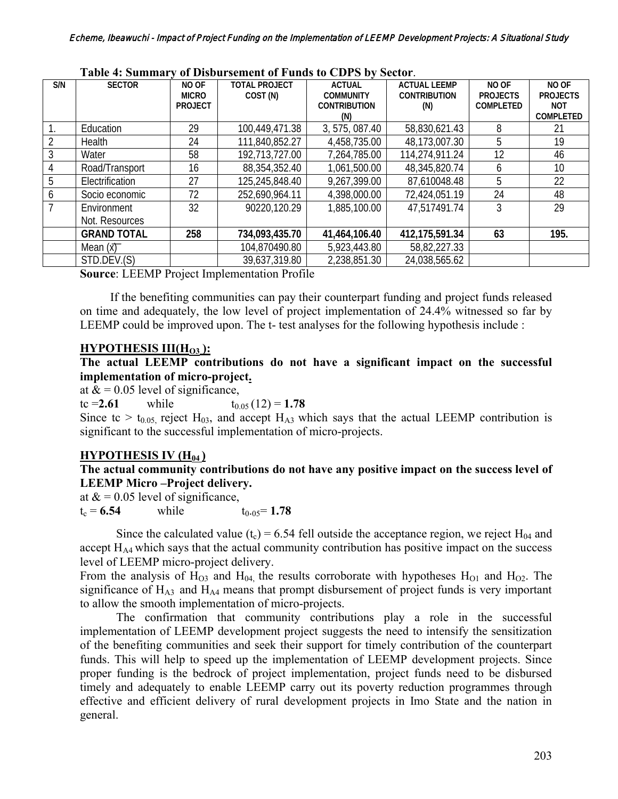|     |                    |                | $0.1$ D to 0 at 50 mm<br>$\frac{1}{2}$ of 1 and $\frac{1}{2}$ to $\frac{1}{2}$ by $\frac{1}{2}$ by $\frac{1}{2}$ |                     |                     |                 |                 |  |  |
|-----|--------------------|----------------|------------------------------------------------------------------------------------------------------------------|---------------------|---------------------|-----------------|-----------------|--|--|
| S/N | <b>SECTOR</b>      | NO OF          | <b>TOTAL PROJECT</b>                                                                                             | <b>ACTUAL</b>       | <b>ACTUAL LEEMP</b> | NO OF           | NO OF           |  |  |
|     |                    | <b>MICRO</b>   | COST (N)                                                                                                         | <b>COMMUNITY</b>    | <b>CONTRIBUTION</b> | <b>PROJECTS</b> | <b>PROJECTS</b> |  |  |
|     |                    | <b>PROJECT</b> |                                                                                                                  | <b>CONTRIBUTION</b> | (N)                 | COMPLETED       | <b>NOT</b>      |  |  |
|     |                    |                |                                                                                                                  | (N)                 |                     |                 | COMPLETED       |  |  |
|     | Education          | 29             | 100,449,471.38                                                                                                   | 3, 575, 087.40      | 58,830,621.43       | 8               | 21              |  |  |
|     | <b>Health</b>      | 24             | 111,840,852.27                                                                                                   | 4,458,735.00        | 48,173,007.30       | 5               | 19              |  |  |
|     | Water              | 58             | 192,713,727.00                                                                                                   | 7,264,785.00        | 114,274,911.24      | 12              | 46              |  |  |
|     | Road/Transport     | 16             | 88,354,352.40                                                                                                    | 1,061,500.00        | 48,345,820.74       | 6               | 10              |  |  |
| 5   | Electrification    | 27             | 125,245,848.40                                                                                                   | 9,267,399.00        | 87,610048.48        | 5               | 22              |  |  |
| b   | Socio economic     | 72             | 252,690,964.11                                                                                                   | 4,398,000.00        | 72,424,051.19       | 24              | 48              |  |  |
|     | Environment        | 32             | 90220,120.29                                                                                                     | 1,885,100.00        | 47,517491.74        | 3               | 29              |  |  |
|     | Not. Resources     |                |                                                                                                                  |                     |                     |                 |                 |  |  |
|     | <b>GRAND TOTAL</b> | 258            | 734,093,435.70                                                                                                   | 41,464,106.40       | 412,175,591.34      | 63              | 195.            |  |  |
|     | Mean $(x)$         |                | 104,870490.80                                                                                                    | 5,923,443.80        | 58,82,227.33        |                 |                 |  |  |
|     | STD.DEV.(S)        |                | 39,637,319.80                                                                                                    | 2,238,851.30        | 24,038,565.62       |                 |                 |  |  |

#### **Table 4: Summary of Disbursement of Funds to CDPS by Sector**.

**Source**: LEEMP Project Implementation Profile

 If the benefiting communities can pay their counterpart funding and project funds released on time and adequately, the low level of project implementation of 24.4% witnessed so far by LEEMP could be improved upon. The t- test analyses for the following hypothesis include :

### **HYPOTHESIS III(H<sub>O3</sub>):**

**The actual LEEMP contributions do not have a significant impact on the successful implementation of micro-project.**

at  $&mathbf x = 0.05$  level of significance,

tc = **2.61** while  $t_{0.05}$  (12) = **1.78** 

Since tc  $> t_{0.05}$  reject H<sub>03</sub>, and accept H<sub>A3</sub> which says that the actual LEEMP contribution is significant to the successful implementation of micro-projects.

## **HYPOTHESIS IV (H<sub>04</sub>)**

### **The actual community contributions do not have any positive impact on the success level of LEEMP Micro –Project delivery.**

at  $&mathbf k = 0.05$  level of significance,  $t_c = 6.54$  while  $t_{0.05} = 1.78$ 

Since the calculated value (t<sub>c</sub>) = 6.54 fell outside the acceptance region, we reject  $H_{04}$  and accept  $H_{AA}$  which says that the actual community contribution has positive impact on the success level of LEEMP micro-project delivery.

From the analysis of  $H_{03}$  and  $H_{04}$ , the results corroborate with hypotheses  $H_{01}$  and  $H_{02}$ . The significance of  $H_{A3}$  and  $H_{A4}$  means that prompt disbursement of project funds is very important to allow the smooth implementation of micro-projects.

The confirmation that community contributions play a role in the successful implementation of LEEMP development project suggests the need to intensify the sensitization of the benefiting communities and seek their support for timely contribution of the counterpart funds. This will help to speed up the implementation of LEEMP development projects. Since proper funding is the bedrock of project implementation, project funds need to be disbursed timely and adequately to enable LEEMP carry out its poverty reduction programmes through effective and efficient delivery of rural development projects in Imo State and the nation in general.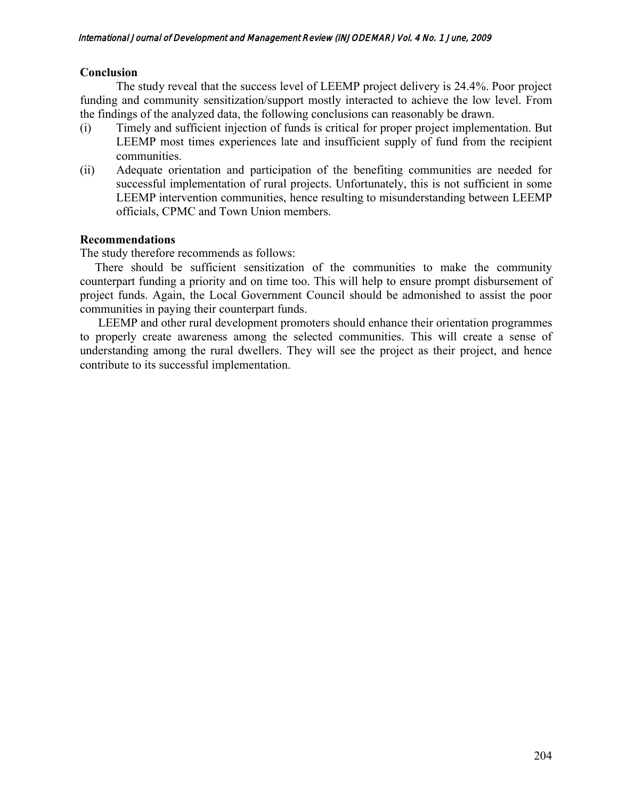### **Conclusion**

The study reveal that the success level of LEEMP project delivery is 24.4%. Poor project funding and community sensitization/support mostly interacted to achieve the low level. From the findings of the analyzed data, the following conclusions can reasonably be drawn.

- (i) Timely and sufficient injection of funds is critical for proper project implementation. But LEEMP most times experiences late and insufficient supply of fund from the recipient communities.
- (ii) Adequate orientation and participation of the benefiting communities are needed for successful implementation of rural projects. Unfortunately, this is not sufficient in some LEEMP intervention communities, hence resulting to misunderstanding between LEEMP officials, CPMC and Town Union members.

### **Recommendations**

The study therefore recommends as follows:

 There should be sufficient sensitization of the communities to make the community counterpart funding a priority and on time too. This will help to ensure prompt disbursement of project funds. Again, the Local Government Council should be admonished to assist the poor communities in paying their counterpart funds.

 LEEMP and other rural development promoters should enhance their orientation programmes to properly create awareness among the selected communities. This will create a sense of understanding among the rural dwellers. They will see the project as their project, and hence contribute to its successful implementation.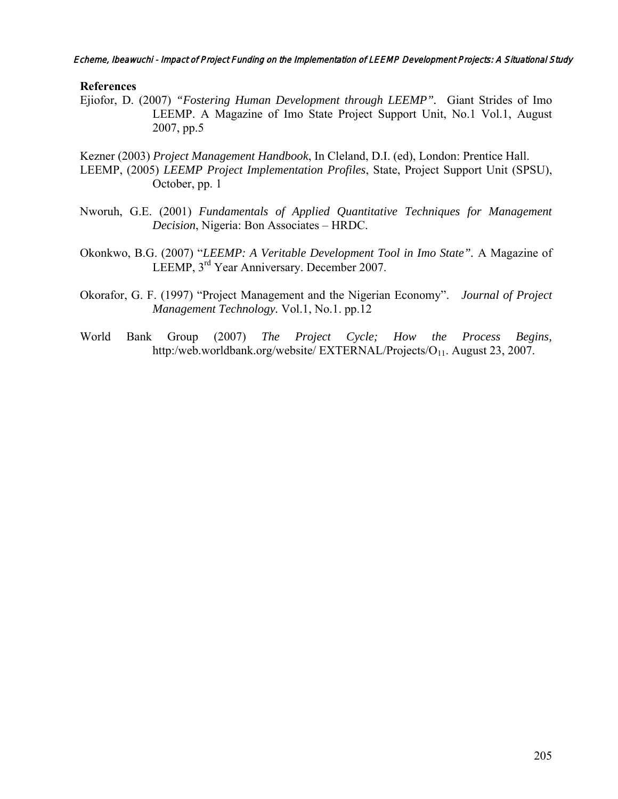Echeme, Ibeawuchi - Impact of Project Funding on the Implementation of LEEMP Development Projects: A Situational Study

### **References**

Ejiofor, D. (2007) *"Fostering Human Development through LEEMP".* Giant Strides of Imo LEEMP. A Magazine of Imo State Project Support Unit, No.1 Vol.1, August 2007, pp.5

Kezner (2003) *Project Management Handbook*, In Cleland, D.I. (ed), London: Prentice Hall. LEEMP, (2005) *LEEMP Project Implementation Profiles*, State, Project Support Unit (SPSU), October, pp. 1

- Nworuh, G.E. (2001) *Fundamentals of Applied Quantitative Techniques for Management Decision*, Nigeria: Bon Associates – HRDC.
- Okonkwo, B.G. (2007) "*LEEMP: A Veritable Development Tool in Imo State".* A Magazine of LEEMP, 3rd Year Anniversary. December 2007.
- Okorafor, G. F. (1997) "Project Management and the Nigerian Economy". *Journal of Project Management Technology.* Vol.1, No.1. pp.12
- World Bank Group (2007) *The Project Cycle; How the Process Begins,*  http:/web.worldbank.org/website/ EXTERNAL/Projects/O<sub>11</sub>. August 23, 2007.